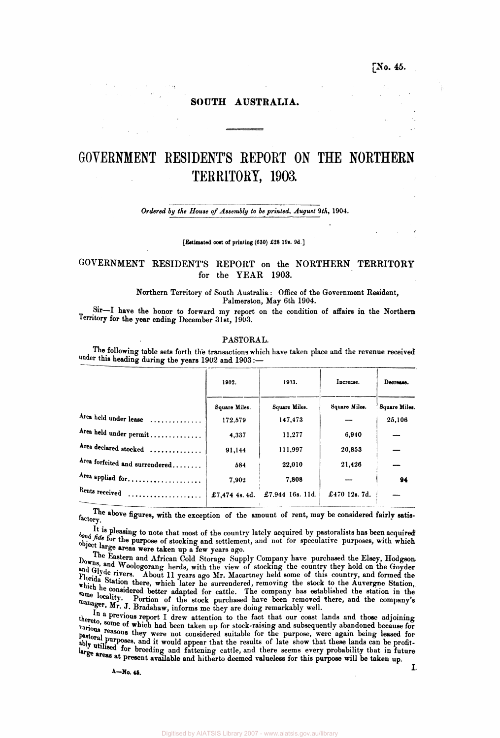## **[No. 45.**

## **SOUTH AUSTRALIA.**

# **GOVERNMENT RESIDENT'S REPORT ON THE NORTHERN TERRITORY, 1903.**

### *Ordered by the House of Assembly to be printed***',** *August 9th,* **1904.**

#### **[Estimated cost of printing (630) £28 19s. 9d]**

# GOVERNMENT RESIDENT'S REPORT on the NORTHERN TERRITORY for the YEAR 1903.

#### **Northern Territory of South Australia: Office of the Government Resident, Palmerston, May 6th 1904.**

**Sir—I have the honor to forward my report on the condition of affairs in the Northern Territory for the year ending December 31st, 1903.** 

#### **PASTORAL.**

**The following table sets forth the transactions which have taken place and the revenue received**  under this heading during the years 1902 and 1903:-

|                                       | 1903.<br>1902. |                  | Increase.     | Decrease.     |
|---------------------------------------|----------------|------------------|---------------|---------------|
|                                       | Square Miles.  | Square Miles.    | Square Miles. | Square Miles. |
| Area held under lease<br>. <i>.</i> . | 172,579        | 147,473          |               | 25,106        |
| Area held under permit                | 4,337          | 11,277           | 6,940         |               |
| Area declared stocked                 | 91.144         | 111,997          | 20,853        |               |
| Area forfeited and surrendered        | 584            | 22,010           | 21,426        |               |
| Area applied for                      | 7.902          | 7,808            |               | 94            |
| Rents received                        | £7.474 4s. 4d. | £7.944 16s. 11d. | £470 12s. 7d. |               |

The above figures, with the exception of the amount of rent, may be considered fairly satis-

It is pleasing to note that most of the country lately acquired by pastoralists has been acquired<br> *bona fide* for the purpose of stacking and attilument and not for speculative purposes with -high bona fide for the purpose of stocking and settlement, and not for speculative purposes, with which object large areas were taken up a few years ago.

The Eastern and African Cold Storage Supply Company have purchased the Elsey, Hodgson Downs, and Woolcompany have buring the equipment of the Elsey, Hodgson, and Woolcompany have purchased the Elsey, Hodgson, and Gives woologorang herds, with the view of stocking the country they hold on the Goyden and the stocking the Goyden and the Stocking of the Goyden and the Goyden and the Goyden and the Goyden and the Goyden and the Goyd Florida Station them to ull years ago Mr. Macartney held some of this country, and formed the Florida Station there, which later he surrendered, removing the stock to the Auvergne Station, which a station there, which later he surrendered, removing the stock to the Auvergne Station, **when** locality **here adapted for cattle.** The company has established the station in the locality. manager. W. I predict of the stock purchased have been removed there, and the company's **manager.** W. I Predict is manager, Mr. J. Bradshaw, informs me they are doing remarkably well.

**that our coast lands and those adjoining**  tarious more of which had been taken up for stock-raising and subsequently abandoned because for **various reasons they were not considered suitable for the purpose, were again being leased for**  ably **prilingly** and it would appear that the results of late show that these lands can be profitably utilised for breeding and fattening cattle, and there seems every probability that in future **large areas at present available and hitherto deemed valueless for this purpose will be taken up.**